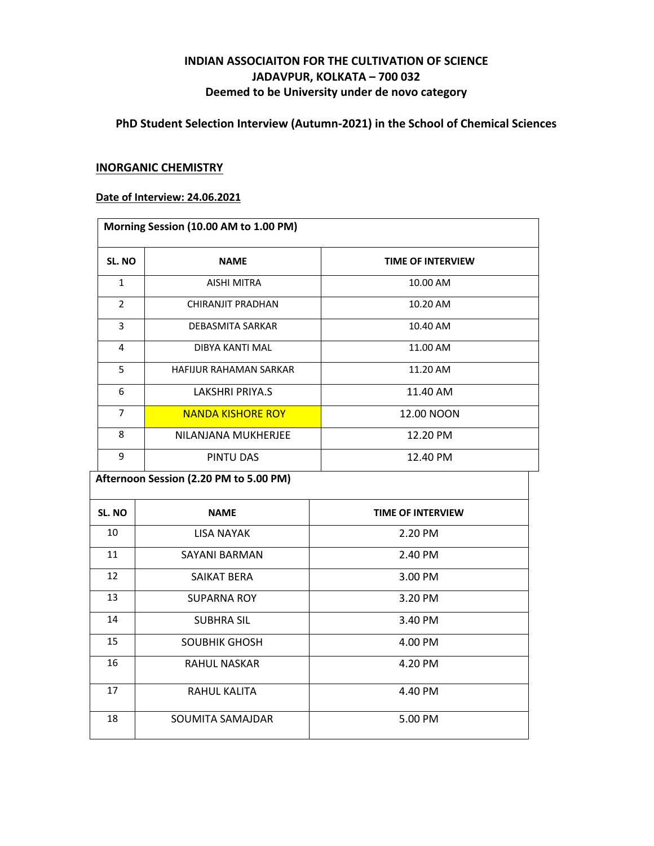# **INDIAN ASSOCIAITON FOR THE CULTIVATION OF SCIENCE JADAVPUR, KOLKATA – 700 032 Deemed to be University under de novo category**

## **PhD Student Selection Interview (Autumn-2021) in the School of Chemical Sciences**

## **INORGANIC CHEMISTRY**

#### **Date of Interview: 24.06.2021**

| Morning Session (10.00 AM to 1.00 PM) |                                        |                          |
|---------------------------------------|----------------------------------------|--------------------------|
| SL. NO                                | <b>NAME</b>                            | <b>TIME OF INTERVIEW</b> |
| $\mathbf{1}$                          | <b>AISHI MITRA</b>                     | 10.00 AM                 |
| $\overline{2}$                        | CHIRANJIT PRADHAN                      | 10.20 AM                 |
| 3                                     | DEBASMITA SARKAR                       | 10.40 AM                 |
| 4                                     | DIBYA KANTI MAL                        | 11.00 AM                 |
| 5                                     | HAFIJUR RAHAMAN SARKAR                 | 11.20 AM                 |
| 6                                     | LAKSHRI PRIYA.S                        | 11.40 AM                 |
| 7                                     | <b>NANDA KISHORE ROY</b>               | 12.00 NOON               |
| 8                                     | NILANJANA MUKHERJEE                    | 12.20 PM                 |
| 9                                     | PINTU DAS                              | 12.40 PM                 |
|                                       | Afternoon Session (2.20 PM to 5.00 PM) |                          |

| SL. NO | <b>NAME</b>          | <b>TIME OF INTERVIEW</b> |
|--------|----------------------|--------------------------|
| 10     | LISA NAYAK           | 2.20 PM                  |
| 11     | SAYANI BARMAN        | 2.40 PM                  |
| 12     | SAIKAT BERA          | 3.00 PM                  |
| 13     | SUPARNA ROY          | 3.20 PM                  |
| 14     | <b>SUBHRA SIL</b>    | 3.40 PM                  |
| 15     | <b>SOUBHIK GHOSH</b> | 4.00 PM                  |
| 16     | RAHUL NASKAR         | 4.20 PM                  |
| 17     | RAHUL KALITA         | 4.40 PM                  |
| 18     | SOUMITA SAMAJDAR     | 5.00 PM                  |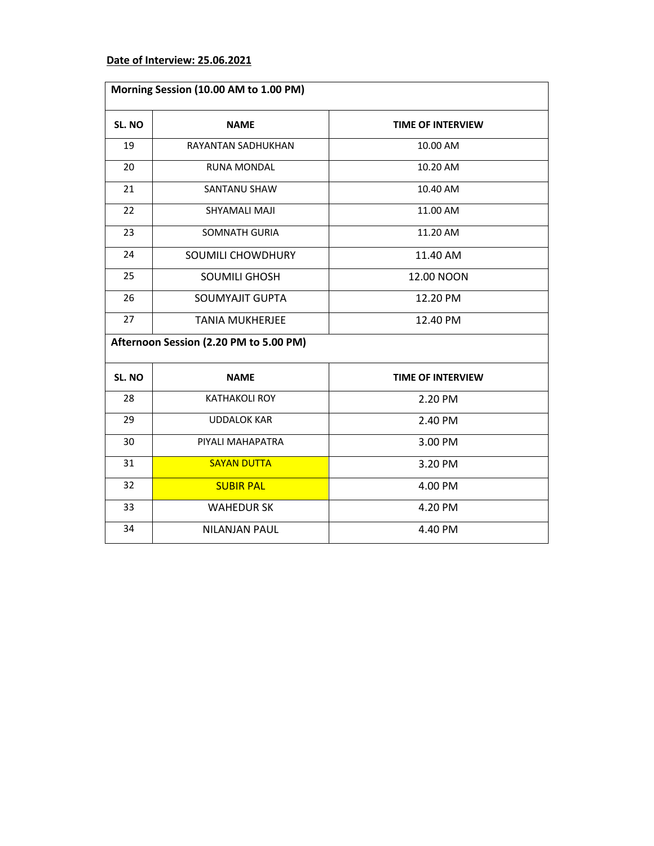| Morning Session (10.00 AM to 1.00 PM) |                                        |                          |  |  |
|---------------------------------------|----------------------------------------|--------------------------|--|--|
| SL. NO                                | <b>NAME</b>                            | <b>TIME OF INTERVIEW</b> |  |  |
| 19                                    | RAYANTAN SADHUKHAN                     | 10.00 AM                 |  |  |
| 20                                    | <b>RUNA MONDAL</b>                     | 10.20 AM                 |  |  |
| 21                                    | SANTANU SHAW                           | 10.40 AM                 |  |  |
| 22                                    | <b>SHYAMALI MAJI</b>                   | 11.00 AM                 |  |  |
| 23                                    | SOMNATH GURIA                          | 11.20 AM                 |  |  |
| 24                                    | SOUMILI CHOWDHURY                      | 11.40 AM                 |  |  |
| 25                                    | <b>SOUMILI GHOSH</b>                   | 12.00 NOON               |  |  |
| 26                                    | <b>SOUMYAJIT GUPTA</b>                 | 12.20 PM                 |  |  |
| 27                                    | <b>TANIA MUKHERJEE</b>                 | 12.40 PM                 |  |  |
|                                       | Afternoon Session (2.20 PM to 5.00 PM) |                          |  |  |
| SL. NO                                | <b>NAME</b>                            | <b>TIME OF INTERVIEW</b> |  |  |
| 28                                    | <b>KATHAKOLI ROY</b>                   | 2.20 PM                  |  |  |
| 29                                    | <b>UDDALOK KAR</b>                     | 2.40 PM                  |  |  |
| 30                                    | PIYALI MAHAPATRA                       | 3.00 PM                  |  |  |
| 31                                    | <b>SAYAN DUTTA</b>                     | 3.20 PM                  |  |  |
| 32                                    | <b>SUBIR PAL</b>                       | 4.00 PM                  |  |  |
| 33                                    | <b>WAHEDUR SK</b>                      | 4.20 PM                  |  |  |
| 34                                    | <b>NILANJAN PAUL</b>                   | 4.40 PM                  |  |  |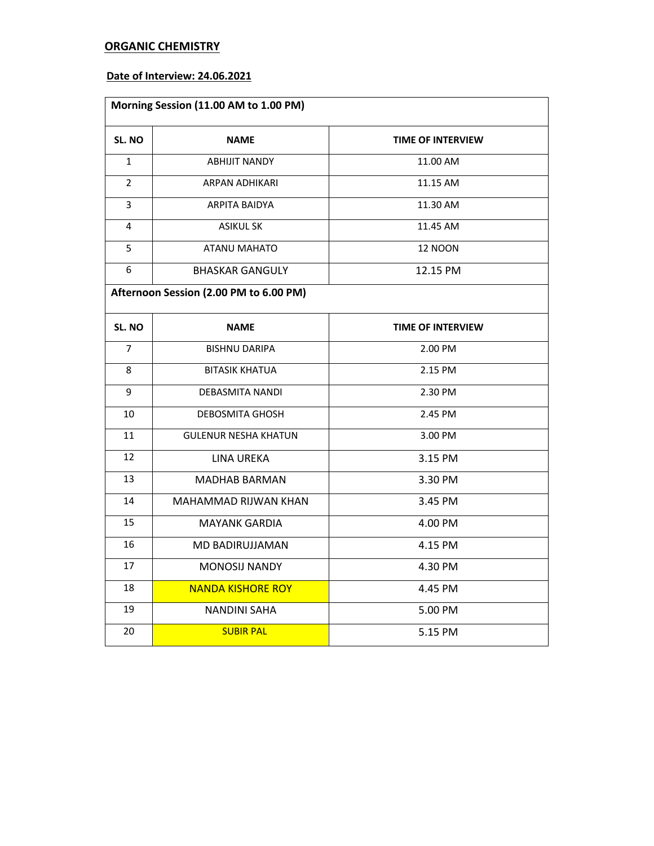## **ORGANIC CHEMISTRY**

# **Date of Interview: 24.06.2021**

| Morning Session (11.00 AM to 1.00 PM) |                                        |                          |  |
|---------------------------------------|----------------------------------------|--------------------------|--|
| SL. NO                                | <b>NAME</b>                            | <b>TIME OF INTERVIEW</b> |  |
| $\mathbf{1}$                          | <b>ABHIJIT NANDY</b>                   | 11.00 AM                 |  |
| $\overline{2}$                        | <b>ARPAN ADHIKARI</b>                  | 11.15 AM                 |  |
| 3                                     | <b>ARPITA BAIDYA</b>                   | 11.30 AM                 |  |
| 4                                     | <b>ASIKUL SK</b>                       | 11.45 AM                 |  |
| 5                                     | ATANU MAHATO                           | <b>12 NOON</b>           |  |
| 6                                     | <b>BHASKAR GANGULY</b>                 | 12.15 PM                 |  |
|                                       | Afternoon Session (2.00 PM to 6.00 PM) |                          |  |
| SL. NO                                | <b>NAME</b>                            | <b>TIME OF INTERVIEW</b> |  |
| $\overline{7}$                        | <b>BISHNU DARIPA</b>                   | 2.00 PM                  |  |
| 8                                     | <b>BITASIK KHATUA</b>                  | 2.15 PM                  |  |
| 9                                     | <b>DEBASMITA NANDI</b>                 | 2.30 PM                  |  |
| 10                                    | <b>DEBOSMITA GHOSH</b>                 | 2.45 PM                  |  |
| 11                                    | <b>GULENUR NESHA KHATUN</b>            | 3.00 PM                  |  |
| 12                                    | <b>LINA UREKA</b>                      | 3.15 PM                  |  |
| 13                                    | MADHAB BARMAN                          | 3.30 PM                  |  |
| 14                                    | MAHAMMAD RIJWAN KHAN                   | 3.45 PM                  |  |
| 15                                    | <b>MAYANK GARDIA</b>                   | 4.00 PM                  |  |
| 16                                    | MD BADIRUJJAMAN                        | 4.15 PM                  |  |
| 17                                    | <b>MONOSIJ NANDY</b>                   | 4.30 PM                  |  |
| 18                                    | <b>NANDA KISHORE ROY</b>               | 4.45 PM                  |  |
| 19                                    | <b>NANDINI SAHA</b>                    | 5.00 PM                  |  |
| 20                                    | <b>SUBIR PAL</b>                       | 5.15 PM                  |  |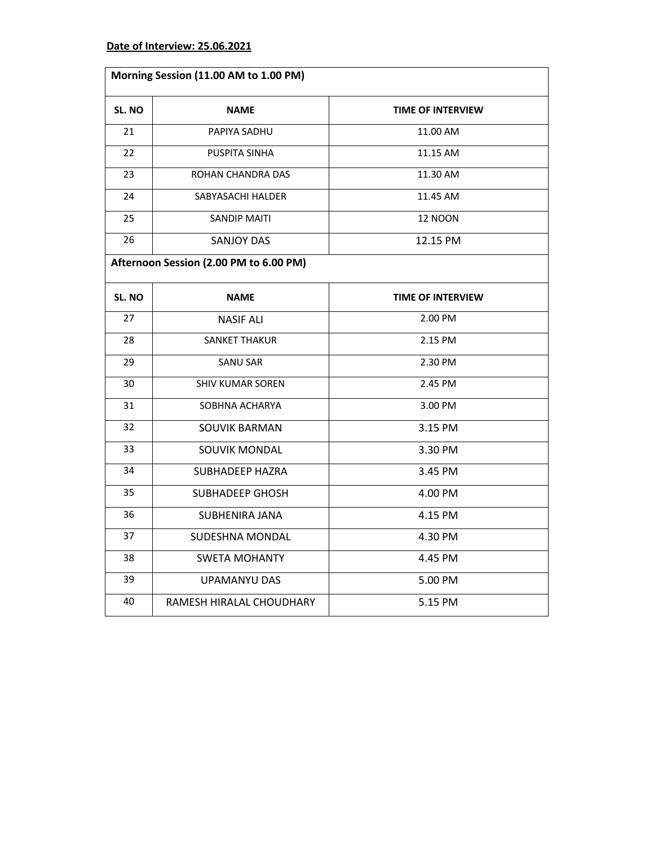| Morning Session (11.00 AM to 1.00 PM) |                                        |                          |
|---------------------------------------|----------------------------------------|--------------------------|
| SL. NO                                | <b>NAME</b>                            | <b>TIME OF INTERVIEW</b> |
| 21                                    | PAPIYA SADHU                           | 11.00 AM                 |
| 22                                    | PUSPITA SINHA                          | 11.15 AM                 |
| 23                                    | ROHAN CHANDRA DAS                      | 11.30 AM                 |
| 24                                    | SABYASACHI HALDER                      | 11.45 AM                 |
| 25                                    | <b>SANDIP MAITI</b>                    | <b>12 NOON</b>           |
| 26                                    | <b>SANJOY DAS</b>                      | 12.15 PM                 |
|                                       | Afternoon Session (2.00 PM to 6.00 PM) |                          |
| SL. NO                                | <b>NAME</b>                            | <b>TIME OF INTERVIEW</b> |
| 27                                    | <b>NASIF ALI</b>                       | 2.00 PM                  |
| 28                                    | <b>SANKET THAKUR</b>                   | 2.15 PM                  |
| 29                                    | <b>SANU SAR</b>                        | 2.30 PM                  |
| 30                                    | <b>SHIV KUMAR SOREN</b>                | 2.45 PM                  |
| 31                                    | SOBHNA ACHARYA                         | 3.00 PM                  |
| 32                                    | <b>SOUVIK BARMAN</b>                   | 3.15 PM                  |
| 33                                    | SOUVIK MONDAL                          | 3.30 PM                  |
| 34                                    | <b>SUBHADEEP HAZRA</b>                 | 3.45 PM                  |
| 35                                    | <b>SUBHADEEP GHOSH</b>                 | 4.00 PM                  |
| 36                                    | SUBHENIRA JANA                         | 4.15 PM                  |
| 37                                    | SUDESHNA MONDAL                        | 4.30 PM                  |
| 38                                    | <b>SWETA MOHANTY</b>                   | 4.45 PM                  |
| 39                                    | <b>UPAMANYU DAS</b>                    | 5.00 PM                  |
| 40                                    | RAMESH HIRALAL CHOUDHARY               | 5.15 PM                  |